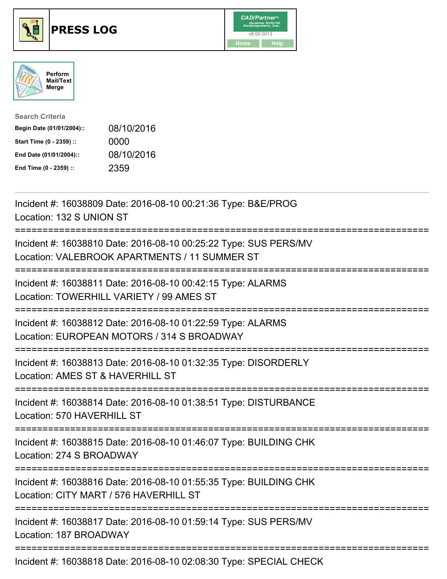





| <b>Search Criteria</b>    |            |
|---------------------------|------------|
| Begin Date (01/01/2004):: | 08/10/2016 |
| Start Time (0 - 2359) ::  | 0000       |
| End Date (01/01/2004)::   | 08/10/2016 |
| End Time (0 - 2359) ::    | 2359       |

| Incident #: 16038809 Date: 2016-08-10 00:21:36 Type: B&E/PROG<br>Location: 132 S UNION ST                                                      |
|------------------------------------------------------------------------------------------------------------------------------------------------|
| Incident #: 16038810 Date: 2016-08-10 00:25:22 Type: SUS PERS/MV<br>Location: VALEBROOK APARTMENTS / 11 SUMMER ST                              |
| Incident #: 16038811 Date: 2016-08-10 00:42:15 Type: ALARMS<br>Location: TOWERHILL VARIETY / 99 AMES ST<br>========================            |
| Incident #: 16038812 Date: 2016-08-10 01:22:59 Type: ALARMS<br>Location: EUROPEAN MOTORS / 314 S BROADWAY<br>----------------------------      |
| Incident #: 16038813 Date: 2016-08-10 01:32:35 Type: DISORDERLY<br>Location: AMES ST & HAVERHILL ST                                            |
| Incident #: 16038814 Date: 2016-08-10 01:38:51 Type: DISTURBANCE<br>Location: 570 HAVERHILL ST                                                 |
| Incident #: 16038815 Date: 2016-08-10 01:46:07 Type: BUILDING CHK<br>Location: 274 S BROADWAY                                                  |
| Incident #: 16038816 Date: 2016-08-10 01:55:35 Type: BUILDING CHK<br>Location: CITY MART / 576 HAVERHILL ST<br>=============================== |
| Incident #: 16038817 Date: 2016-08-10 01:59:14 Type: SUS PERS/MV<br>Location: 187 BROADWAY                                                     |
| Incident #: 16038818 Date: 2016-08-10 02:08:30 Type: SPECIAL CHECK                                                                             |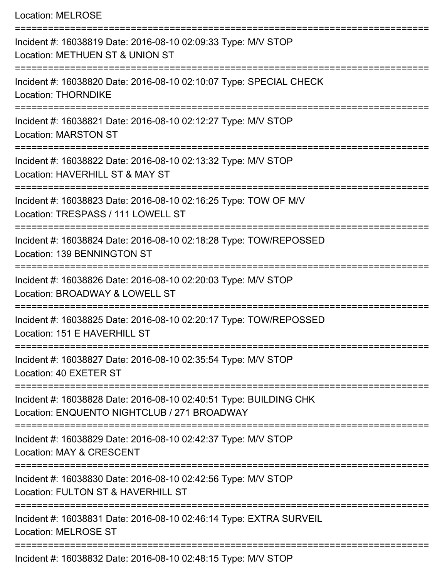Location: MELROSE =========================================================================== Incident #: 16038819 Date: 2016-08-10 02:09:33 Type: M/V STOP Location: METHUEN ST & UNION ST =========================================================================== Incident #: 16038820 Date: 2016-08-10 02:10:07 Type: SPECIAL CHECK Location: THORNDIKE =========================================================================== Incident #: 16038821 Date: 2016-08-10 02:12:27 Type: M/V STOP Location: MARSTON ST =========================================================================== Incident #: 16038822 Date: 2016-08-10 02:13:32 Type: M/V STOP Location: HAVERHILL ST & MAY ST =========================================================================== Incident #: 16038823 Date: 2016-08-10 02:16:25 Type: TOW OF M/V Location: TRESPASS / 111 LOWELL ST =========================================================================== Incident #: 16038824 Date: 2016-08-10 02:18:28 Type: TOW/REPOSSED Location: 139 BENNINGTON ST =========================================================================== Incident #: 16038826 Date: 2016-08-10 02:20:03 Type: M/V STOP Location: BROADWAY & LOWELL ST =========================================================================== Incident #: 16038825 Date: 2016-08-10 02:20:17 Type: TOW/REPOSSED Location: 151 E HAVERHILL ST =========================================================================== Incident #: 16038827 Date: 2016-08-10 02:35:54 Type: M/V STOP Location: 40 EXETER ST =========================================================================== Incident #: 16038828 Date: 2016-08-10 02:40:51 Type: BUILDING CHK Location: ENQUENTO NIGHTCLUB / 271 BROADWAY =========================================================================== Incident #: 16038829 Date: 2016-08-10 02:42:37 Type: M/V STOP Location: MAY & CRESCENT =========================================================================== Incident #: 16038830 Date: 2016-08-10 02:42:56 Type: M/V STOP Location: FULTON ST & HAVERHILL ST =========================================================================== Incident #: 16038831 Date: 2016-08-10 02:46:14 Type: EXTRA SURVEIL Location: MELROSE ST ===========================================================================

Incident #: 16038832 Date: 2016-08-10 02:48:15 Type: M/V STOP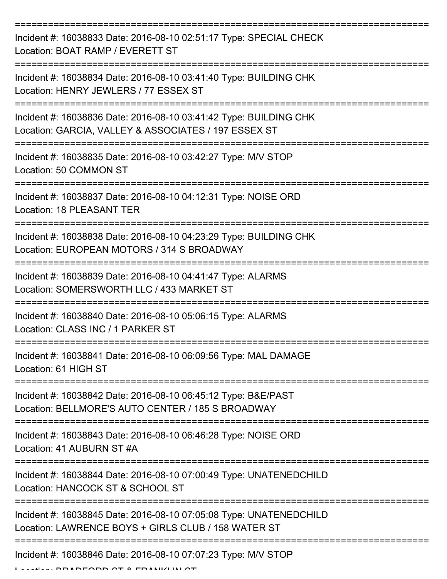| Incident #: 16038833 Date: 2016-08-10 02:51:17 Type: SPECIAL CHECK<br>Location: BOAT RAMP / EVERETT ST                    |
|---------------------------------------------------------------------------------------------------------------------------|
| Incident #: 16038834 Date: 2016-08-10 03:41:40 Type: BUILDING CHK<br>Location: HENRY JEWLERS / 77 ESSEX ST                |
| Incident #: 16038836 Date: 2016-08-10 03:41:42 Type: BUILDING CHK<br>Location: GARCIA, VALLEY & ASSOCIATES / 197 ESSEX ST |
| Incident #: 16038835 Date: 2016-08-10 03:42:27 Type: M/V STOP<br>Location: 50 COMMON ST                                   |
| Incident #: 16038837 Date: 2016-08-10 04:12:31 Type: NOISE ORD<br><b>Location: 18 PLEASANT TER</b>                        |
| Incident #: 16038838 Date: 2016-08-10 04:23:29 Type: BUILDING CHK<br>Location: EUROPEAN MOTORS / 314 S BROADWAY           |
| Incident #: 16038839 Date: 2016-08-10 04:41:47 Type: ALARMS<br>Location: SOMERSWORTH LLC / 433 MARKET ST                  |
| Incident #: 16038840 Date: 2016-08-10 05:06:15 Type: ALARMS<br>Location: CLASS INC / 1 PARKER ST                          |
| Incident #: 16038841 Date: 2016-08-10 06:09:56 Type: MAL DAMAGE<br>Location: 61 HIGH ST                                   |
| Incident #: 16038842 Date: 2016-08-10 06:45:12 Type: B&E/PAST<br>Location: BELLMORE'S AUTO CENTER / 185 S BROADWAY        |
| Incident #: 16038843 Date: 2016-08-10 06:46:28 Type: NOISE ORD<br>Location: 41 AUBURN ST #A                               |
| Incident #: 16038844 Date: 2016-08-10 07:00:49 Type: UNATENEDCHILD<br>Location: HANCOCK ST & SCHOOL ST                    |
| Incident #: 16038845 Date: 2016-08-10 07:05:08 Type: UNATENEDCHILD<br>Location: LAWRENCE BOYS + GIRLS CLUB / 158 WATER ST |
| Incident #: 16038846 Date: 2016-08-10 07:07:23 Type: M/V STOP<br>DEODD OT A FRANC                                         |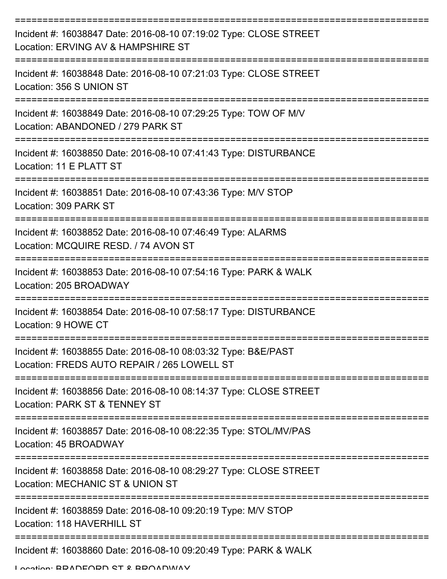| Incident #: 16038847 Date: 2016-08-10 07:19:02 Type: CLOSE STREET<br>Location: ERVING AV & HAMPSHIRE ST      |
|--------------------------------------------------------------------------------------------------------------|
| Incident #: 16038848 Date: 2016-08-10 07:21:03 Type: CLOSE STREET<br>Location: 356 S UNION ST                |
| Incident #: 16038849 Date: 2016-08-10 07:29:25 Type: TOW OF M/V<br>Location: ABANDONED / 279 PARK ST         |
| Incident #: 16038850 Date: 2016-08-10 07:41:43 Type: DISTURBANCE<br>Location: 11 E PLATT ST                  |
| Incident #: 16038851 Date: 2016-08-10 07:43:36 Type: M/V STOP<br>Location: 309 PARK ST                       |
| Incident #: 16038852 Date: 2016-08-10 07:46:49 Type: ALARMS<br>Location: MCQUIRE RESD, / 74 AVON ST          |
| Incident #: 16038853 Date: 2016-08-10 07:54:16 Type: PARK & WALK<br>Location: 205 BROADWAY                   |
| Incident #: 16038854 Date: 2016-08-10 07:58:17 Type: DISTURBANCE<br>Location: 9 HOWE CT                      |
| Incident #: 16038855 Date: 2016-08-10 08:03:32 Type: B&E/PAST<br>Location: FREDS AUTO REPAIR / 265 LOWELL ST |
| Incident #: 16038856 Date: 2016-08-10 08:14:37 Type: CLOSE STREET<br>Location: PARK ST & TENNEY ST           |
| Incident #: 16038857 Date: 2016-08-10 08:22:35 Type: STOL/MV/PAS<br>Location: 45 BROADWAY                    |
| Incident #: 16038858 Date: 2016-08-10 08:29:27 Type: CLOSE STREET<br>Location: MECHANIC ST & UNION ST        |
| Incident #: 16038859 Date: 2016-08-10 09:20:19 Type: M/V STOP<br>Location: 118 HAVERHILL ST                  |
| Incident #: 16038860 Date: 2016-08-10 09:20:49 Type: PARK & WALK                                             |

Location: BRADFORD ST & BROADWAY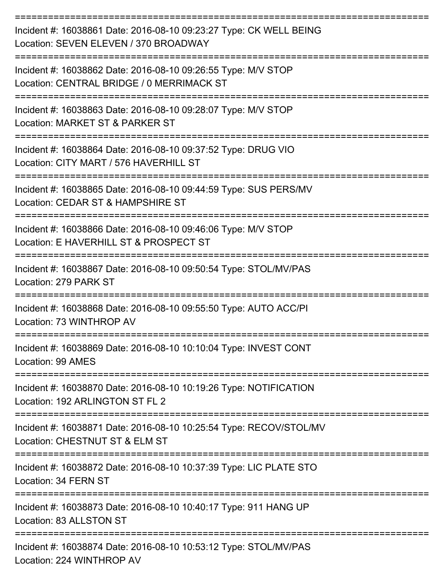| Incident #: 16038861 Date: 2016-08-10 09:23:27 Type: CK WELL BEING<br>Location: SEVEN ELEVEN / 370 BROADWAY                  |
|------------------------------------------------------------------------------------------------------------------------------|
| Incident #: 16038862 Date: 2016-08-10 09:26:55 Type: M/V STOP<br>Location: CENTRAL BRIDGE / 0 MERRIMACK ST                   |
| Incident #: 16038863 Date: 2016-08-10 09:28:07 Type: M/V STOP<br>Location: MARKET ST & PARKER ST                             |
| Incident #: 16038864 Date: 2016-08-10 09:37:52 Type: DRUG VIO<br>Location: CITY MART / 576 HAVERHILL ST                      |
| Incident #: 16038865 Date: 2016-08-10 09:44:59 Type: SUS PERS/MV<br>Location: CEDAR ST & HAMPSHIRE ST                        |
| Incident #: 16038866 Date: 2016-08-10 09:46:06 Type: M/V STOP<br>Location: E HAVERHILL ST & PROSPECT ST                      |
| Incident #: 16038867 Date: 2016-08-10 09:50:54 Type: STOL/MV/PAS<br>Location: 279 PARK ST                                    |
| Incident #: 16038868 Date: 2016-08-10 09:55:50 Type: AUTO ACC/PI<br>Location: 73 WINTHROP AV                                 |
| Incident #: 16038869 Date: 2016-08-10 10:10:04 Type: INVEST CONT<br>Location: 99 AMES                                        |
| ====================<br>Incident #: 16038870 Date: 2016-08-10 10:19:26 Type: NOTIFICATION<br>Location: 192 ARLINGTON ST FL 2 |
| Incident #: 16038871 Date: 2016-08-10 10:25:54 Type: RECOV/STOL/MV<br>Location: CHESTNUT ST & ELM ST                         |
| Incident #: 16038872 Date: 2016-08-10 10:37:39 Type: LIC PLATE STO<br>Location: 34 FERN ST                                   |
| Incident #: 16038873 Date: 2016-08-10 10:40:17 Type: 911 HANG UP<br>Location: 83 ALLSTON ST                                  |
| Incident #: 16038874 Date: 2016-08-10 10:53:12 Type: STOL/MV/PAS<br>Location: 224 WINTHROP AV                                |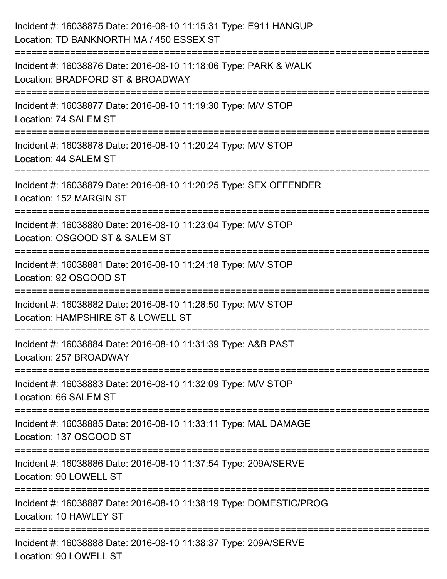| Incident #: 16038875 Date: 2016-08-10 11:15:31 Type: E911 HANGUP<br>Location: TD BANKNORTH MA / 450 ESSEX ST                   |
|--------------------------------------------------------------------------------------------------------------------------------|
| Incident #: 16038876 Date: 2016-08-10 11:18:06 Type: PARK & WALK<br>Location: BRADFORD ST & BROADWAY                           |
| Incident #: 16038877 Date: 2016-08-10 11:19:30 Type: M/V STOP<br>Location: 74 SALEM ST                                         |
| Incident #: 16038878 Date: 2016-08-10 11:20:24 Type: M/V STOP<br>Location: 44 SALEM ST                                         |
| Incident #: 16038879 Date: 2016-08-10 11:20:25 Type: SEX OFFENDER<br>Location: 152 MARGIN ST                                   |
| Incident #: 16038880 Date: 2016-08-10 11:23:04 Type: M/V STOP<br>Location: OSGOOD ST & SALEM ST                                |
| Incident #: 16038881 Date: 2016-08-10 11:24:18 Type: M/V STOP<br>Location: 92 OSGOOD ST                                        |
| =======================<br>Incident #: 16038882 Date: 2016-08-10 11:28:50 Type: M/V STOP<br>Location: HAMPSHIRE ST & LOWELL ST |
| Incident #: 16038884 Date: 2016-08-10 11:31:39 Type: A&B PAST<br>Location: 257 BROADWAY                                        |
| Incident #: 16038883 Date: 2016-08-10 11:32:09 Type: M/V STOP<br>Location: 66 SALEM ST                                         |
| Incident #: 16038885 Date: 2016-08-10 11:33:11 Type: MAL DAMAGE<br>Location: 137 OSGOOD ST                                     |
| Incident #: 16038886 Date: 2016-08-10 11:37:54 Type: 209A/SERVE<br>Location: 90 LOWELL ST                                      |
| Incident #: 16038887 Date: 2016-08-10 11:38:19 Type: DOMESTIC/PROG<br>Location: 10 HAWLEY ST                                   |
| Incident #: 16038888 Date: 2016-08-10 11:38:37 Type: 209A/SERVE<br>Location: 90 LOWELL ST                                      |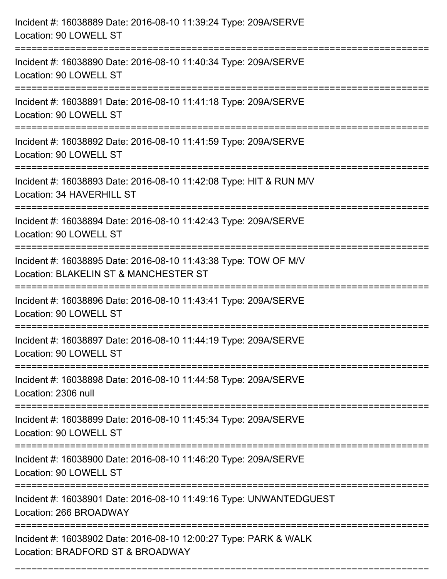| Incident #: 16038889 Date: 2016-08-10 11:39:24 Type: 209A/SERVE<br>Location: 90 LOWELL ST                |
|----------------------------------------------------------------------------------------------------------|
| Incident #: 16038890 Date: 2016-08-10 11:40:34 Type: 209A/SERVE<br>Location: 90 LOWELL ST                |
| Incident #: 16038891 Date: 2016-08-10 11:41:18 Type: 209A/SERVE<br>Location: 90 LOWELL ST                |
| Incident #: 16038892 Date: 2016-08-10 11:41:59 Type: 209A/SERVE<br>Location: 90 LOWELL ST                |
| Incident #: 16038893 Date: 2016-08-10 11:42:08 Type: HIT & RUN M/V<br>Location: 34 HAVERHILL ST          |
| Incident #: 16038894 Date: 2016-08-10 11:42:43 Type: 209A/SERVE<br>Location: 90 LOWELL ST                |
| Incident #: 16038895 Date: 2016-08-10 11:43:38 Type: TOW OF M/V<br>Location: BLAKELIN ST & MANCHESTER ST |
| Incident #: 16038896 Date: 2016-08-10 11:43:41 Type: 209A/SERVE<br>Location: 90 LOWELL ST                |
| Incident #: 16038897 Date: 2016-08-10 11:44:19 Type: 209A/SERVE<br>Location: 90 LOWELL ST                |
| Incident #: 16038898 Date: 2016-08-10 11:44:58 Type: 209A/SERVE<br>Location: 2306 null                   |
| Incident #: 16038899 Date: 2016-08-10 11:45:34 Type: 209A/SERVE<br>Location: 90 LOWELL ST                |
| Incident #: 16038900 Date: 2016-08-10 11:46:20 Type: 209A/SERVE<br>Location: 90 LOWELL ST                |
| Incident #: 16038901 Date: 2016-08-10 11:49:16 Type: UNWANTEDGUEST<br>Location: 266 BROADWAY             |
| Incident #: 16038902 Date: 2016-08-10 12:00:27 Type: PARK & WALK<br>Location: BRADFORD ST & BROADWAY     |

===========================================================================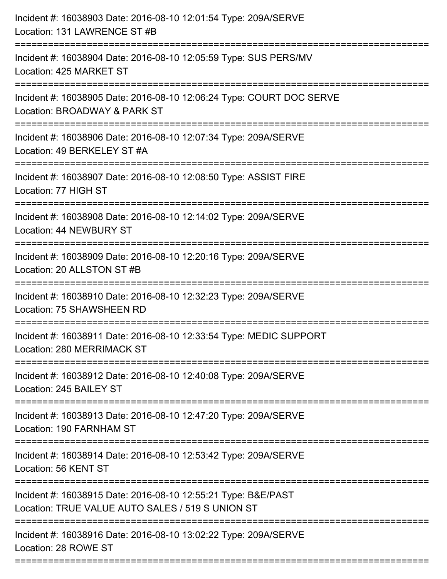| Incident #: 16038903 Date: 2016-08-10 12:01:54 Type: 209A/SERVE<br>Location: 131 LAWRENCE ST #B<br>==============================             |
|-----------------------------------------------------------------------------------------------------------------------------------------------|
| Incident #: 16038904 Date: 2016-08-10 12:05:59 Type: SUS PERS/MV<br>Location: 425 MARKET ST                                                   |
| Incident #: 16038905 Date: 2016-08-10 12:06:24 Type: COURT DOC SERVE<br>Location: BROADWAY & PARK ST<br>=======================               |
| Incident #: 16038906 Date: 2016-08-10 12:07:34 Type: 209A/SERVE<br>Location: 49 BERKELEY ST #A<br>:====================<br>------------------ |
| Incident #: 16038907 Date: 2016-08-10 12:08:50 Type: ASSIST FIRE<br>Location: 77 HIGH ST                                                      |
| Incident #: 16038908 Date: 2016-08-10 12:14:02 Type: 209A/SERVE<br>Location: 44 NEWBURY ST<br>:=====================================          |
| Incident #: 16038909 Date: 2016-08-10 12:20:16 Type: 209A/SERVE<br>Location: 20 ALLSTON ST #B                                                 |
| Incident #: 16038910 Date: 2016-08-10 12:32:23 Type: 209A/SERVE<br>Location: 75 SHAWSHEEN RD                                                  |
| Incident #: 16038911 Date: 2016-08-10 12:33:54 Type: MEDIC SUPPORT<br>Location: 280 MERRIMACK ST                                              |
| Incident #: 16038912 Date: 2016-08-10 12:40:08 Type: 209A/SERVE<br>Location: 245 BAILEY ST                                                    |
| Incident #: 16038913 Date: 2016-08-10 12:47:20 Type: 209A/SERVE<br>Location: 190 FARNHAM ST                                                   |
| Incident #: 16038914 Date: 2016-08-10 12:53:42 Type: 209A/SERVE<br>Location: 56 KENT ST                                                       |
| Incident #: 16038915 Date: 2016-08-10 12:55:21 Type: B&E/PAST<br>Location: TRUE VALUE AUTO SALES / 519 S UNION ST                             |
| Incident #: 16038916 Date: 2016-08-10 13:02:22 Type: 209A/SERVE<br>Location: 28 ROWE ST                                                       |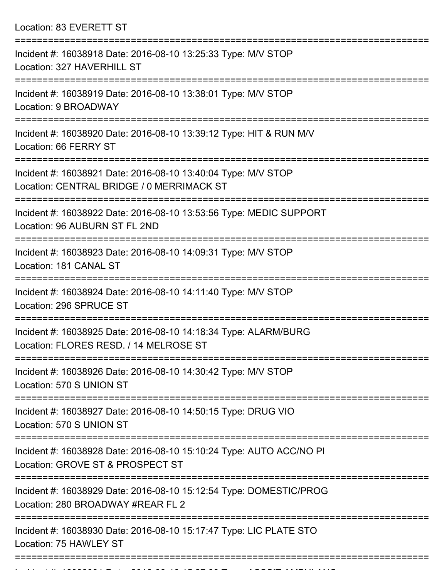Location: 83 EVERETT ST =========================================================================== Incident #: 16038918 Date: 2016-08-10 13:25:33 Type: M/V STOP Location: 327 HAVERHILL ST =========================================================================== Incident #: 16038919 Date: 2016-08-10 13:38:01 Type: M/V STOP Location: 9 BROADWAY =========================================================================== Incident #: 16038920 Date: 2016-08-10 13:39:12 Type: HIT & RUN M/V Location: 66 FERRY ST =========================================================================== Incident #: 16038921 Date: 2016-08-10 13:40:04 Type: M/V STOP Location: CENTRAL BRIDGE / 0 MERRIMACK ST =========================================================================== Incident #: 16038922 Date: 2016-08-10 13:53:56 Type: MEDIC SUPPORT Location: 96 AUBURN ST FL 2ND =========================================================================== Incident #: 16038923 Date: 2016-08-10 14:09:31 Type: M/V STOP Location: 181 CANAL ST =========================================================================== Incident #: 16038924 Date: 2016-08-10 14:11:40 Type: M/V STOP Location: 296 SPRUCE ST =========================================================================== Incident #: 16038925 Date: 2016-08-10 14:18:34 Type: ALARM/BURG Location: FLORES RESD. / 14 MELROSE ST =========================================================================== Incident #: 16038926 Date: 2016-08-10 14:30:42 Type: M/V STOP Location: 570 S UNION ST =========================================================================== Incident #: 16038927 Date: 2016-08-10 14:50:15 Type: DRUG VIO Location: 570 S UNION ST =========================================================================== Incident #: 16038928 Date: 2016-08-10 15:10:24 Type: AUTO ACC/NO PI Location: GROVE ST & PROSPECT ST =========================================================================== Incident #: 16038929 Date: 2016-08-10 15:12:54 Type: DOMESTIC/PROG Location: 280 BROADWAY #REAR FL 2 =========================================================================== Incident #: 16038930 Date: 2016-08-10 15:17:47 Type: LIC PLATE STO Location: 75 HAWLEY ST ===========================================================================

Incident #: 16038931 Date: 2016 08 10 15:27:33 Type: 2016 08 10 15:27:33 Type: 2016 08 10 10 10 10 10 10 10 10<br>.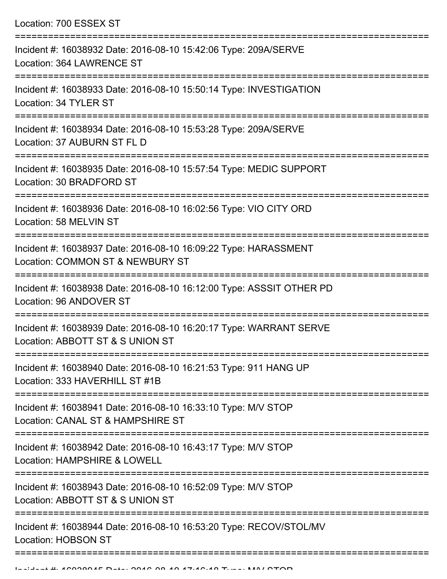| Location: 700 ESSEX ST |  |  |  |
|------------------------|--|--|--|
|------------------------|--|--|--|

| Incident #: 16038932 Date: 2016-08-10 15:42:06 Type: 209A/SERVE<br>Location: 364 LAWRENCE ST                       |
|--------------------------------------------------------------------------------------------------------------------|
| Incident #: 16038933 Date: 2016-08-10 15:50:14 Type: INVESTIGATION<br>Location: 34 TYLER ST<br>,,,,,,,,,,,,,,,,,,, |
| Incident #: 16038934 Date: 2016-08-10 15:53:28 Type: 209A/SERVE<br>Location: 37 AUBURN ST FL D                     |
| Incident #: 16038935 Date: 2016-08-10 15:57:54 Type: MEDIC SUPPORT<br>Location: 30 BRADFORD ST                     |
| Incident #: 16038936 Date: 2016-08-10 16:02:56 Type: VIO CITY ORD<br>Location: 58 MELVIN ST                        |
| Incident #: 16038937 Date: 2016-08-10 16:09:22 Type: HARASSMENT<br>Location: COMMON ST & NEWBURY ST                |
| Incident #: 16038938 Date: 2016-08-10 16:12:00 Type: ASSSIT OTHER PD<br>Location: 96 ANDOVER ST                    |
| Incident #: 16038939 Date: 2016-08-10 16:20:17 Type: WARRANT SERVE<br>Location: ABBOTT ST & S UNION ST             |
| Incident #: 16038940 Date: 2016-08-10 16:21:53 Type: 911 HANG UP<br>Location: 333 HAVERHILL ST #1B                 |
| Incident #: 16038941 Date: 2016-08-10 16:33:10 Type: M/V STOP<br>Location: CANAL ST & HAMPSHIRE ST                 |
| Incident #: 16038942 Date: 2016-08-10 16:43:17 Type: M/V STOP<br>Location: HAMPSHIRE & LOWELL                      |
| Incident #: 16038943 Date: 2016-08-10 16:52:09 Type: M/V STOP<br>Location: ABBOTT ST & S UNION ST                  |
| Incident #: 16038944 Date: 2016-08-10 16:53:20 Type: RECOV/STOL/MV<br><b>Location: HOBSON ST</b>                   |
|                                                                                                                    |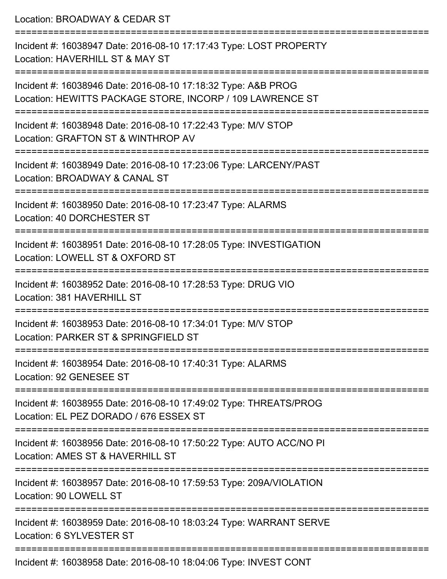| Location: BROADWAY & CEDAR ST                                                                                                    |
|----------------------------------------------------------------------------------------------------------------------------------|
| Incident #: 16038947 Date: 2016-08-10 17:17:43 Type: LOST PROPERTY<br>Location: HAVERHILL ST & MAY ST                            |
| Incident #: 16038946 Date: 2016-08-10 17:18:32 Type: A&B PROG<br>Location: HEWITTS PACKAGE STORE, INCORP / 109 LAWRENCE ST       |
| Incident #: 16038948 Date: 2016-08-10 17:22:43 Type: M/V STOP<br>Location: GRAFTON ST & WINTHROP AV<br>:======================== |
| Incident #: 16038949 Date: 2016-08-10 17:23:06 Type: LARCENY/PAST<br>Location: BROADWAY & CANAL ST                               |
| Incident #: 16038950 Date: 2016-08-10 17:23:47 Type: ALARMS<br>Location: 40 DORCHESTER ST                                        |
| Incident #: 16038951 Date: 2016-08-10 17:28:05 Type: INVESTIGATION<br>Location: LOWELL ST & OXFORD ST                            |
| Incident #: 16038952 Date: 2016-08-10 17:28:53 Type: DRUG VIO<br>Location: 381 HAVERHILL ST                                      |
| Incident #: 16038953 Date: 2016-08-10 17:34:01 Type: M/V STOP<br>Location: PARKER ST & SPRINGFIELD ST                            |
| Incident #: 16038954 Date: 2016-08-10 17:40:31 Type: ALARMS<br>Location: 92 GENESEE ST                                           |
| Incident #: 16038955 Date: 2016-08-10 17:49:02 Type: THREATS/PROG<br>Location: EL PEZ DORADO / 676 ESSEX ST                      |
| Incident #: 16038956 Date: 2016-08-10 17:50:22 Type: AUTO ACC/NO PI<br>Location: AMES ST & HAVERHILL ST                          |
| Incident #: 16038957 Date: 2016-08-10 17:59:53 Type: 209A/VIOLATION<br>Location: 90 LOWELL ST                                    |
| Incident #: 16038959 Date: 2016-08-10 18:03:24 Type: WARRANT SERVE<br>Location: 6 SYLVESTER ST                                   |
|                                                                                                                                  |

Incident #: 16038958 Date: 2016-08-10 18:04:06 Type: INVEST CONT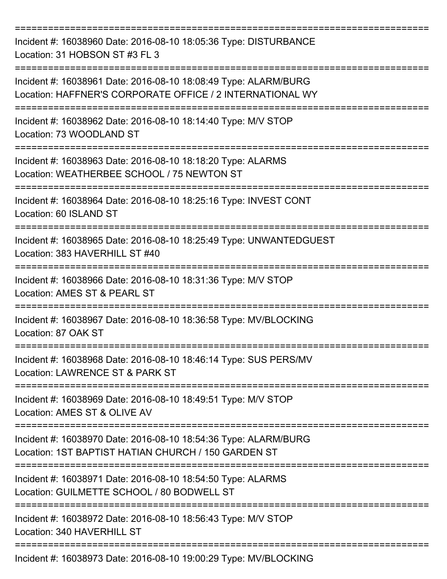| Incident #: 16038960 Date: 2016-08-10 18:05:36 Type: DISTURBANCE<br>Location: 31 HOBSON ST #3 FL 3                           |
|------------------------------------------------------------------------------------------------------------------------------|
| Incident #: 16038961 Date: 2016-08-10 18:08:49 Type: ALARM/BURG<br>Location: HAFFNER'S CORPORATE OFFICE / 2 INTERNATIONAL WY |
| Incident #: 16038962 Date: 2016-08-10 18:14:40 Type: M/V STOP<br>Location: 73 WOODLAND ST                                    |
| Incident #: 16038963 Date: 2016-08-10 18:18:20 Type: ALARMS<br>Location: WEATHERBEE SCHOOL / 75 NEWTON ST                    |
| Incident #: 16038964 Date: 2016-08-10 18:25:16 Type: INVEST CONT<br>Location: 60 ISLAND ST                                   |
| Incident #: 16038965 Date: 2016-08-10 18:25:49 Type: UNWANTEDGUEST<br>Location: 383 HAVERHILL ST #40                         |
| Incident #: 16038966 Date: 2016-08-10 18:31:36 Type: M/V STOP<br>Location: AMES ST & PEARL ST                                |
| Incident #: 16038967 Date: 2016-08-10 18:36:58 Type: MV/BLOCKING<br>Location: 87 OAK ST                                      |
| ==============<br>Incident #: 16038968 Date: 2016-08-10 18:46:14 Type: SUS PERS/MV<br>Location: LAWRENCE ST & PARK ST        |
| Incident #: 16038969 Date: 2016-08-10 18:49:51 Type: M/V STOP<br>Location: AMES ST & OLIVE AV                                |
| Incident #: 16038970 Date: 2016-08-10 18:54:36 Type: ALARM/BURG<br>Location: 1ST BAPTIST HATIAN CHURCH / 150 GARDEN ST       |
| Incident #: 16038971 Date: 2016-08-10 18:54:50 Type: ALARMS<br>Location: GUILMETTE SCHOOL / 80 BODWELL ST                    |
| Incident #: 16038972 Date: 2016-08-10 18:56:43 Type: M/V STOP<br>Location: 340 HAVERHILL ST                                  |
| Incident #: 16038973 Date: 2016-08-10 19:00:29 Type: MV/BLOCKING                                                             |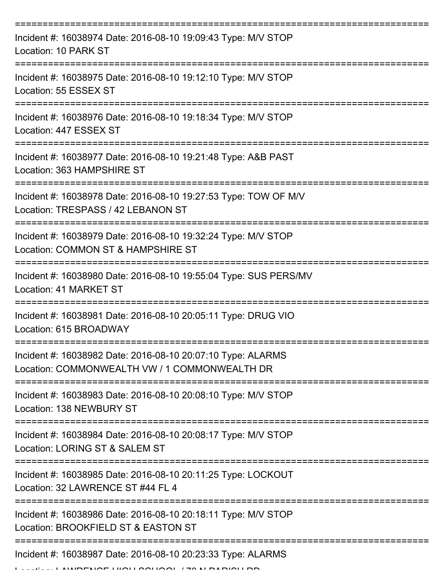| Incident #: 16038974 Date: 2016-08-10 19:09:43 Type: M/V STOP<br>Location: 10 PARK ST                              |
|--------------------------------------------------------------------------------------------------------------------|
| Incident #: 16038975 Date: 2016-08-10 19:12:10 Type: M/V STOP<br>Location: 55 ESSEX ST                             |
| Incident #: 16038976 Date: 2016-08-10 19:18:34 Type: M/V STOP<br>Location: 447 ESSEX ST                            |
| Incident #: 16038977 Date: 2016-08-10 19:21:48 Type: A&B PAST<br>Location: 363 HAMPSHIRE ST                        |
| Incident #: 16038978 Date: 2016-08-10 19:27:53 Type: TOW OF M/V<br>Location: TRESPASS / 42 LEBANON ST              |
| ===========<br>Incident #: 16038979 Date: 2016-08-10 19:32:24 Type: M/V STOP<br>Location: COMMON ST & HAMPSHIRE ST |
| Incident #: 16038980 Date: 2016-08-10 19:55:04 Type: SUS PERS/MV<br>Location: 41 MARKET ST<br>-----------          |
| Incident #: 16038981 Date: 2016-08-10 20:05:11 Type: DRUG VIO<br>Location: 615 BROADWAY                            |
| Incident #: 16038982 Date: 2016-08-10 20:07:10 Type: ALARMS<br>Location: COMMONWEALTH VW / 1 COMMONWEALTH DR       |
| Incident #: 16038983 Date: 2016-08-10 20:08:10 Type: M/V STOP<br>Location: 138 NEWBURY ST                          |
| Incident #: 16038984 Date: 2016-08-10 20:08:17 Type: M/V STOP<br>Location: LORING ST & SALEM ST                    |
| Incident #: 16038985 Date: 2016-08-10 20:11:25 Type: LOCKOUT<br>Location: 32 LAWRENCE ST #44 FL 4                  |
| Incident #: 16038986 Date: 2016-08-10 20:18:11 Type: M/V STOP<br>Location: BROOKFIELD ST & EASTON ST               |
| Incident #: 16038987 Date: 2016-08-10 20:23:33 Type: ALARMS                                                        |

LAWRENCE HIGH GOLLON LEAN PARIOLLER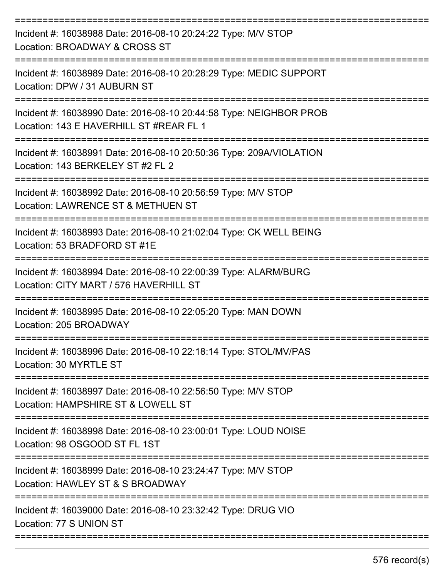| Incident #: 16038988 Date: 2016-08-10 20:24:22 Type: M/V STOP<br>Location: BROADWAY & CROSS ST                                     |
|------------------------------------------------------------------------------------------------------------------------------------|
| Incident #: 16038989 Date: 2016-08-10 20:28:29 Type: MEDIC SUPPORT<br>Location: DPW / 31 AUBURN ST                                 |
| Incident #: 16038990 Date: 2016-08-10 20:44:58 Type: NEIGHBOR PROB<br>Location: 143 E HAVERHILL ST #REAR FL 1<br>================= |
| Incident #: 16038991 Date: 2016-08-10 20:50:36 Type: 209A/VIOLATION<br>Location: 143 BERKELEY ST #2 FL 2                           |
| Incident #: 16038992 Date: 2016-08-10 20:56:59 Type: M/V STOP<br>Location: LAWRENCE ST & METHUEN ST                                |
| Incident #: 16038993 Date: 2016-08-10 21:02:04 Type: CK WELL BEING<br>Location: 53 BRADFORD ST #1E                                 |
| Incident #: 16038994 Date: 2016-08-10 22:00:39 Type: ALARM/BURG<br>Location: CITY MART / 576 HAVERHILL ST                          |
| Incident #: 16038995 Date: 2016-08-10 22:05:20 Type: MAN DOWN<br>Location: 205 BROADWAY                                            |
| Incident #: 16038996 Date: 2016-08-10 22:18:14 Type: STOL/MV/PAS<br>Location: 30 MYRTLE ST                                         |
| Incident #: 16038997 Date: 2016-08-10 22:56:50 Type: M/V STOP<br>Location: HAMPSHIRE ST & LOWELL ST                                |
| Incident #: 16038998 Date: 2016-08-10 23:00:01 Type: LOUD NOISE<br>Location: 98 OSGOOD ST FL 1ST                                   |
| Incident #: 16038999 Date: 2016-08-10 23:24:47 Type: M/V STOP<br>Location: HAWLEY ST & S BROADWAY                                  |
| Incident #: 16039000 Date: 2016-08-10 23:32:42 Type: DRUG VIO<br>Location: 77 S UNION ST                                           |
|                                                                                                                                    |